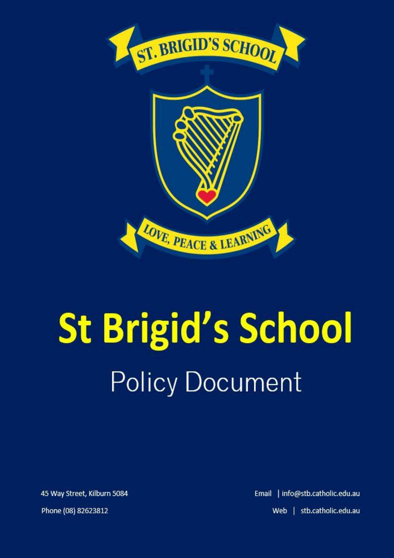

# **St Brigid's School Policy Document**

45 Way Street, Kilburn 5084

Phone (08) 82623812

Email | info@stb.catholic.edu.au Web | stb.catholic.edu.au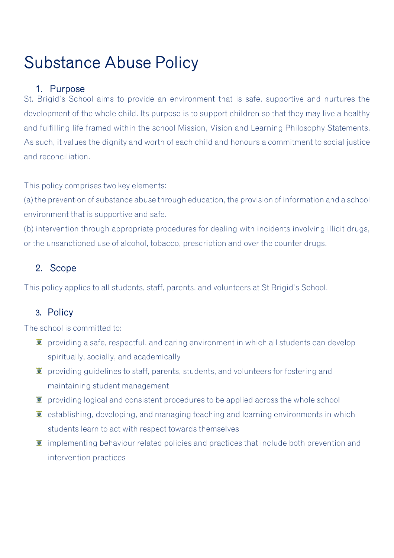# Substance Abuse Policy

## 1. Purpose

St. Brigid's School aims to provide an environment that is safe, supportive and nurtures the development of the whole child. Its purpose is to support children so that they may live a healthy and fulfilling life framed within the school Mission, Vision and Learning Philosophy Statements. As such, it values the dignity and worth of each child and honours a commitment to social justice and reconciliation.

This policy comprises two key elements:

(a) the prevention of substance abuse through education, the provision of information and a school environment that is supportive and safe.

(b) intervention through appropriate procedures for dealing with incidents involving illicit drugs, or the unsanctioned use of alcohol, tobacco, prescription and over the counter drugs.

# 2. Scope

This policy applies to all students, staff, parents, and volunteers at St Brigid's School.

### 3. Policy

The school is committed to:

- $\bullet$  providing a safe, respectful, and caring environment in which all students can develop spiritually, socially, and academically
- $\bullet$  providing guidelines to staff, parents, students, and volunteers for fostering and maintaining student management
- $\bar{I}$  providing logical and consistent procedures to be applied across the whole school
- $\bullet$  establishing, developing, and managing teaching and learning environments in which students learn to act with respect towards themselves
- $\bar{I}$  implementing behaviour related policies and practices that include both prevention and intervention practices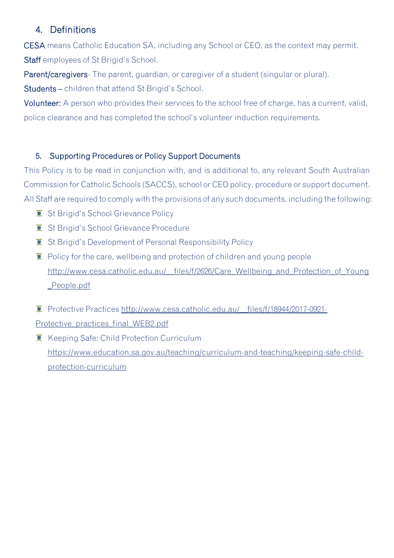# 4. Definitions

CESA means Catholic Education SA, including any School or CEO, as the context may permit. Staff employees of St Brigid's School.

Parent/caregivers- The parent, guardian, or caregiver of a student (singular or plural).

Students – children that attend St Brigid's School.

Volunteer: A person who provides their services to the school free of charge, has a current, valid, police clearance and has completed the school's volunteer induction requirements.

#### 5. Supporting Procedures or Policy Support Documents

This Policy is to be read in conjunction with, and is additional to, any relevant South Australian Commission for Catholic Schools (SACCS), school or CEO policy, procedure or support document. All Staff are required to comply with the provisions of any such documents, including the following:

- $\bullet$  St Brigid's School Grievance Policy
- $I$  St Brigid's School Grievance Procedure
- **St Brigid's Development of Personal Responsibility Policy**
- $\ddot{\mathbf{r}}$  Policy for the care, wellbeing and protection of children and young people [http://www.cesa.catholic.edu.au/\\_\\_files/f/2626/Care\\_Wellbeing\\_and\\_Protection\\_of\\_Young](http://www.cesa.catholic.edu.au/__files/f/2626/Care_Wellbeing_and_Protection_of_Young_People.pdf) [\\_People.pdf](http://www.cesa.catholic.edu.au/__files/f/2626/Care_Wellbeing_and_Protection_of_Young_People.pdf)
- Protective Practices http://www.cesa.catholic.edu.au/ files/f/18944/2017-0921-Protective practices final WEB2.pdf
- **K** Keeping Safe: Child Protection Curriculum [https://www.education.sa.gov.au/teaching/curriculum-and-teaching/keeping-safe-child](https://www.education.sa.gov.au/teaching/curriculum-and-teaching/keeping-safe-child-protection-curriculum)[protection-curriculum](https://www.education.sa.gov.au/teaching/curriculum-and-teaching/keeping-safe-child-protection-curriculum)